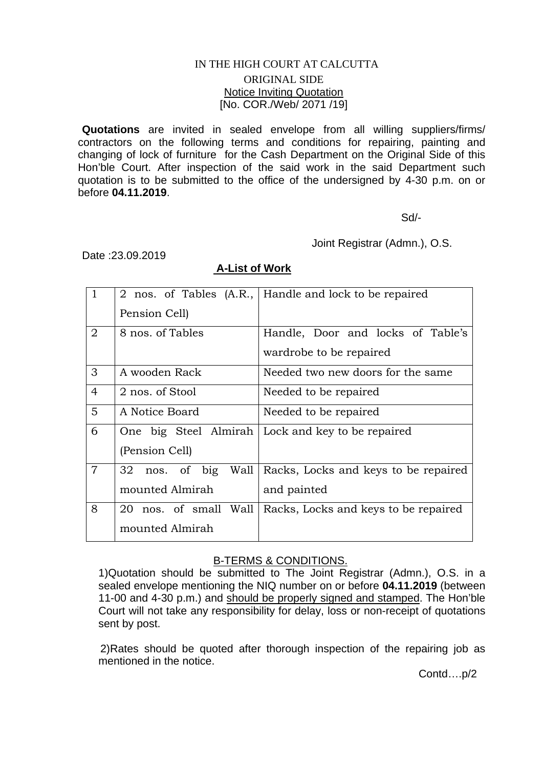## IN THE HIGH COURT AT CALCUTTA

## ORIGINAL SIDE Notice Inviting Quotation [No. COR./Web/ 2071 /19]

**Quotations** are invited in sealed envelope from all willing suppliers/firms/ contractors on the following terms and conditions for repairing, painting and changing of lock of furniture for the Cash Department on the Original Side of this Hon'ble Court. After inspection of the said work in the said Department such quotation is to be submitted to the office of the undersigned by 4-30 p.m. on or before **04.11.2019**.

Sd/-

Joint Registrar (Admn.), O.S.

Date :23.09.2019

## **A-List of Work**

|                |                           | 2 nos. of Tables (A.R., Handle and lock to be repaired |
|----------------|---------------------------|--------------------------------------------------------|
|                | Pension Cell)             |                                                        |
| $\overline{2}$ | 8 nos. of Tables          | Handle, Door and locks of Table's                      |
|                |                           | wardrobe to be repaired                                |
| 3              | A wooden Rack             | Needed two new doors for the same                      |
| $\overline{4}$ | 2 nos. of Stool           | Needed to be repaired                                  |
| 5              | A Notice Board            | Needed to be repaired                                  |
| 6              |                           | One big Steel Almirah   Lock and key to be repaired    |
|                | (Pension Cell)            |                                                        |
| $\overline{7}$ | 32<br>nos. of big<br>Wall | Racks, Locks and keys to be repaired                   |
|                | mounted Almirah           | and painted                                            |
| 8              | 20 nos. of small Wall     | Racks, Locks and keys to be repaired                   |
|                | mounted Almirah           |                                                        |

## B-TERMS & CONDITIONS.

1)Quotation should be submitted to The Joint Registrar (Admn.), O.S. in a sealed envelope mentioning the NIQ number on or before **04.11.2019** (between 11-00 and 4-30 p.m.) and should be properly signed and stamped. The Hon'ble Court will not take any responsibility for delay, loss or non-receipt of quotations sent by post.

 2)Rates should be quoted after thorough inspection of the repairing job as mentioned in the notice.

Contd….p/2